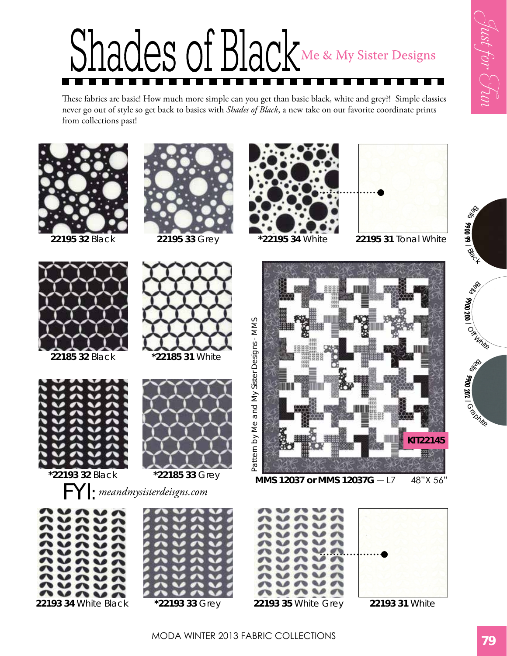**DRR** 

alge **9900 200**

 $\frac{2}{\sqrt{2}}\frac{1}{4\eta_{th}}$ 

**Disco** 

**9900 202**

 $\frac{1}{\Omega}$ 

**9900 99 1**<br>Plack



These fabrics are basic! How much more simple can you get than basic black, white and grey?! Simple classics never go out of style so get back to basics with *Shades of Black*, a new take on our favorite coordinate prints from collections past!







**22185 32** Black **\*22185 31** White





FYI: *meandmysisterdeisgns.com*













MODA Winter 2013 Fabric Collections **79**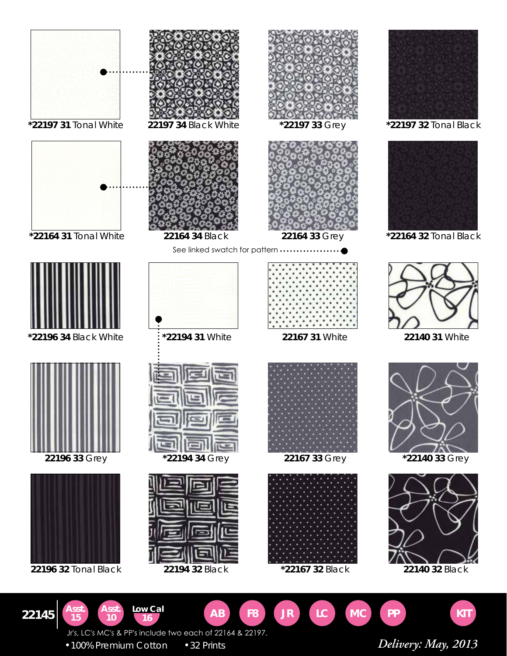

•100% Premium Cotton •32 Prints *Delivery: May, 2013*